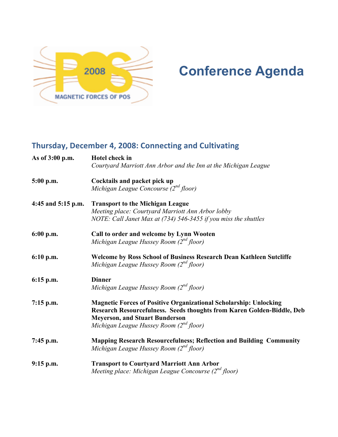

# 2008 **Conference Agenda**

# **Thursday, December 4, 2008: Connecting and Cultivating**

| As of 3:00 p.m.    | <b>Hotel check in</b><br>Courtyard Marriott Ann Arbor and the Inn at the Michigan League                                                                                                                                               |  |  |
|--------------------|----------------------------------------------------------------------------------------------------------------------------------------------------------------------------------------------------------------------------------------|--|--|
| $5:00$ p.m.        | Cocktails and packet pick up<br>Michigan League Concourse $(2^{nd}$ floor)                                                                                                                                                             |  |  |
| 4:45 and 5:15 p.m. | <b>Transport to the Michigan League</b><br>Meeting place: Courtyard Marriott Ann Arbor lobby<br>NOTE: Call Janet Max at (734) 546-3455 if you miss the shuttles                                                                        |  |  |
| $6:00$ p.m.        | Call to order and welcome by Lynn Wooten<br>Michigan League Hussey Room $(2^{nd}$ floor)                                                                                                                                               |  |  |
| $6:10$ p.m.        | <b>Welcome by Ross School of Business Research Dean Kathleen Sutcliffe</b><br>Michigan League Hussey Room $(2^{nd}$ floor)                                                                                                             |  |  |
| $6:15$ p.m.        | <b>Dinner</b><br>Michigan League Hussey Room $(2^{nd}$ floor)                                                                                                                                                                          |  |  |
| $7:15$ p.m.        | <b>Magnetic Forces of Positive Organizational Scholarship: Unlocking</b><br>Research Resourcefulness. Seeds thoughts from Karen Golden-Biddle, Deb<br><b>Meyerson, and Stuart Bunderson</b><br>Michigan League Hussey Room (2nd floor) |  |  |
| $7:45$ p.m.        | <b>Mapping Research Resourcefulness; Reflection and Building Community</b><br>Michigan League Hussey Room $(2^{nd}$ floor)                                                                                                             |  |  |
| $9:15$ p.m.        | <b>Transport to Courtyard Marriott Ann Arbor</b><br>Meeting place: Michigan League Concourse $(2nd floor)$                                                                                                                             |  |  |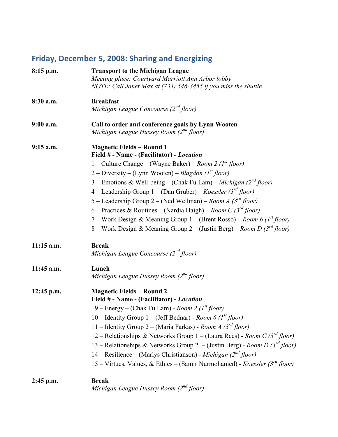# Friday, December 5, 2008: Sharing and Energizing

| $8:15$ p.m.  | <b>Transport to the Michigan League</b><br>Meeting place: Courtyard Marriott Ann Arbor lobby                                                                                                                                                                                                                                                                                                                                                                                             |  |  |
|--------------|------------------------------------------------------------------------------------------------------------------------------------------------------------------------------------------------------------------------------------------------------------------------------------------------------------------------------------------------------------------------------------------------------------------------------------------------------------------------------------------|--|--|
|              | NOTE: Call Janet Max at (734) 546-3455 if you miss the shuttle                                                                                                                                                                                                                                                                                                                                                                                                                           |  |  |
| 8:30 a.m.    | <b>Breakfast</b>                                                                                                                                                                                                                                                                                                                                                                                                                                                                         |  |  |
|              | Michigan League Concourse $(2^{nd}$ floor)                                                                                                                                                                                                                                                                                                                                                                                                                                               |  |  |
| 9:00 a.m.    | Call to order and conference goals by Lynn Wooten<br>Michigan League Hussey Room (2nd floor)                                                                                                                                                                                                                                                                                                                                                                                             |  |  |
| $9:15$ a.m.  | <b>Magnetic Fields - Round 1</b><br>Field # - Name - (Facilitator) - Location                                                                                                                                                                                                                                                                                                                                                                                                            |  |  |
|              | 1 – Culture Change – (Wayne Baker) – Room 2 ( $I^{st}$ floor)                                                                                                                                                                                                                                                                                                                                                                                                                            |  |  |
|              | 2 – Diversity – (Lynn Wooten) – Blagdon (1 <sup>st</sup> floor)                                                                                                                                                                                                                                                                                                                                                                                                                          |  |  |
|              | 3 – Emotions & Well-being – (Chak Fu Lam) – Michigan (2 <sup>nd</sup> floor)                                                                                                                                                                                                                                                                                                                                                                                                             |  |  |
|              | 4 – Leadership Group 1 – (Dan Gruber) – Koessler (3 <sup>rd</sup> floor)                                                                                                                                                                                                                                                                                                                                                                                                                 |  |  |
|              | 5 – Leadership Group 2 – (Ned Wellman) – Room A (3 <sup>rd</sup> floor)                                                                                                                                                                                                                                                                                                                                                                                                                  |  |  |
|              | 6 – Practices & Routines – (Nardia Haigh) – Room C (3rd floor)                                                                                                                                                                                                                                                                                                                                                                                                                           |  |  |
|              | 7 – Work Design & Meaning Group 1 – (Brent Rosso) – Room 6 ( $I^{st}$ floor)                                                                                                                                                                                                                                                                                                                                                                                                             |  |  |
|              | 8 – Work Design & Meaning Group 2 – (Justin Berg) – Room D (3rd floor)                                                                                                                                                                                                                                                                                                                                                                                                                   |  |  |
| $11:15$ a.m. | <b>Break</b><br>Michigan League Concourse $(2^{nd}$ floor)                                                                                                                                                                                                                                                                                                                                                                                                                               |  |  |
| 11:45 a.m.   | Lunch<br>Michigan League Hussey Room $(2^{nd}$ floor)                                                                                                                                                                                                                                                                                                                                                                                                                                    |  |  |
| $12:45$ p.m. | <b>Magnetic Fields - Round 2</b>                                                                                                                                                                                                                                                                                                                                                                                                                                                         |  |  |
|              |                                                                                                                                                                                                                                                                                                                                                                                                                                                                                          |  |  |
|              |                                                                                                                                                                                                                                                                                                                                                                                                                                                                                          |  |  |
|              |                                                                                                                                                                                                                                                                                                                                                                                                                                                                                          |  |  |
|              |                                                                                                                                                                                                                                                                                                                                                                                                                                                                                          |  |  |
|              |                                                                                                                                                                                                                                                                                                                                                                                                                                                                                          |  |  |
|              |                                                                                                                                                                                                                                                                                                                                                                                                                                                                                          |  |  |
|              | 15 – Virtues, Values, & Ethics – (Samir Nurmohamed) - Koessler (3 <sup>rd</sup> floor)                                                                                                                                                                                                                                                                                                                                                                                                   |  |  |
| $2:45$ p.m.  | <b>Break</b>                                                                                                                                                                                                                                                                                                                                                                                                                                                                             |  |  |
|              | Michigan League Hussey Room $(2^{nd}$ floor)                                                                                                                                                                                                                                                                                                                                                                                                                                             |  |  |
|              | Field # - Name - (Facilitator) - Location<br>9 – Energy – (Chak Fu Lam) - Room 2 ( $I^{st}$ floor)<br>10 – Identity Group 1 – (Jeff Bednar) - Room 6 ( $Ist floor$ )<br>11 – Identity Group 2 – (Maria Farkas) - Room A ( $3^{rd}$ floor)<br>12 – Relationships & Networks Group 1 – (Laura Rees) - Room C ( $3^{rd}$ floor)<br>13 – Relationships & Networks Group 2 – (Justin Berg) - Room D ( $3^{rd}$ floor)<br>14 – Resilience – (Marlys Christianson) - Michigan ( $2^{nd}$ floor) |  |  |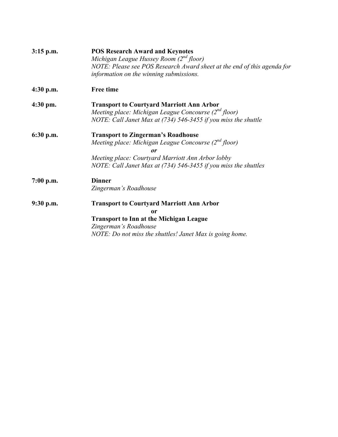| $3:15$ p.m. | <b>POS Research Award and Keynotes</b><br>Michigan League Hussey Room $(2^{nd}$ floor)<br>NOTE: Please see POS Research Award sheet at the end of this agenda for<br>information on the winning submissions.                         |  |  |
|-------------|--------------------------------------------------------------------------------------------------------------------------------------------------------------------------------------------------------------------------------------|--|--|
| $4:30$ p.m. | <b>Free time</b>                                                                                                                                                                                                                     |  |  |
| $4:30$ pm.  | <b>Transport to Courtyard Marriott Ann Arbor</b><br>Meeting place: Michigan League Concourse $(2nd floor)$<br>NOTE: Call Janet Max at (734) 546-3455 if you miss the shuttle                                                         |  |  |
| 6:30 p.m.   | <b>Transport to Zingerman's Roadhouse</b><br>Meeting place: Michigan League Concourse $(2^{nd}$ floor)<br>or<br>Meeting place: Courtyard Marriott Ann Arbor lobby<br>NOTE: Call Janet Max at (734) 546-3455 if you miss the shuttles |  |  |
| $7:00$ p.m. | <b>Dinner</b><br>Zingerman's Roadhouse                                                                                                                                                                                               |  |  |
| $9:30$ p.m. | <b>Transport to Courtyard Marriott Ann Arbor</b><br>or<br><b>Transport to Inn at the Michigan League</b><br>Zingerman's Roadhouse<br>NOTE: Do not miss the shuttles! Janet Max is going home.                                        |  |  |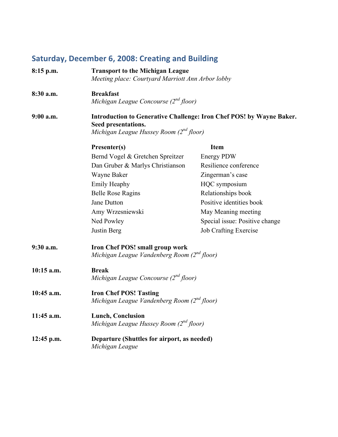# Saturday, December 6, 2008: Creating and Building

| $8:15$ p.m.  | <b>Transport to the Michigan League</b><br>Meeting place: Courtyard Marriott Ann Arbor lobby                                                |                                |  |
|--------------|---------------------------------------------------------------------------------------------------------------------------------------------|--------------------------------|--|
| 8:30 a.m.    | <b>Breakfast</b><br>Michigan League Concourse (2 <sup>nd</sup> floor)                                                                       |                                |  |
| $9:00$ a.m.  | Introduction to Generative Challenge: Iron Chef POS! by Wayne Baker.<br>Seed presentations.<br>Michigan League Hussey Room $(2^{nd}$ floor) |                                |  |
|              | Presenter(s)                                                                                                                                | <b>Item</b>                    |  |
|              | Bernd Vogel & Gretchen Spreitzer                                                                                                            | <b>Energy PDW</b>              |  |
|              | Dan Gruber & Marlys Christianson                                                                                                            | Resilience conference          |  |
|              | Wayne Baker                                                                                                                                 | Zingerman's case               |  |
|              | <b>Emily Heaphy</b>                                                                                                                         | HQC symposium                  |  |
|              | <b>Belle Rose Ragins</b>                                                                                                                    | Relationships book             |  |
|              | Jane Dutton                                                                                                                                 | Positive identities book       |  |
|              | Amy Wrzesniewski                                                                                                                            | May Meaning meeting            |  |
|              | Ned Powley                                                                                                                                  | Special issue: Positive change |  |
|              | Justin Berg                                                                                                                                 | <b>Job Crafting Exercise</b>   |  |
| 9:30 a.m.    | <b>Iron Chef POS! small group work</b><br>Michigan League Vandenberg Room (2nd floor)                                                       |                                |  |
| $10:15$ a.m. | <b>Break</b><br>Michigan League Concourse $(2^{nd}$ floor)                                                                                  |                                |  |
| 10:45 a.m.   | <b>Iron Chef POS! Tasting</b><br>Michigan League Vandenberg Room (2nd floor)                                                                |                                |  |
| 11:45 a.m.   | <b>Lunch, Conclusion</b><br>Michigan League Hussey Room (2 <sup>nd</sup> floor)                                                             |                                |  |
| $12:45$ p.m. | Departure (Shuttles for airport, as needed)<br>Michigan League                                                                              |                                |  |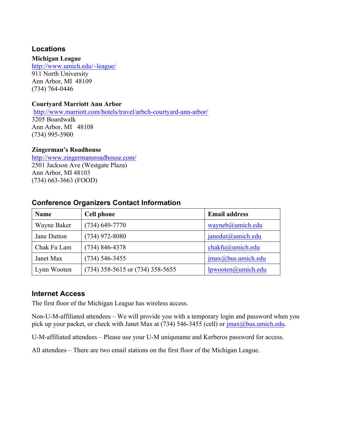# **Locations**

### **Michigan League**

http://www.umich.edu/~league/ 911 North University Ann Arbor, MI 48109 (734) 764-0446

#### **Courtyard Marriott Ann Arbor**

http://www.marriott.com/hotels/travel/arbch-courtyard-ann-arbor/ 3205 Boardwalk Ann Arbor, MI 48108 (734) 995-5900

#### **Zingerman's Roadhouse**

http://www.zingermansroadhouse.com/ 2501 Jackson Ave (Westgate Plaza) Ann Arbor, MI 48103 (734) 663-3663 (FOOD)

# **Conference Organizers Contact Information**

| <b>Name</b> | <b>Cell phone</b>                    | <b>Email address</b>           |
|-------------|--------------------------------------|--------------------------------|
| Wayne Baker | $(734)$ 649-7770                     | wayneb@umich.edu               |
| Jane Dutton | $(734)$ 972-8080                     | janedut@umich.edu              |
| Chak Fu Lam | $(734) 846 - 4378$                   | $chakfu@$ umich.edu            |
| Janet Max   | $(734)$ 546-3455                     | $\text{imax}(a)$ bus.umich.edu |
| Lynn Wooten | $(734)$ 358-5615 or $(734)$ 358-5655 | lpwooten@umich.edu             |

# **Internet Access**

The first floor of the Michigan League has wireless access.

Non-U-M-affiliated attendees – We will provide you with a temporary login and password when you pick up your packet, or check with Janet Max at  $(734)$  546-3455 (cell) or  $\frac{1}{2}$  max $\frac{a}{b}$  us.umich.edu.

U-M-affiliated attendees – Please use your U-M uniquname and Kerberos password for access.

All attendees – There are two email stations on the first floor of the Michigan League.